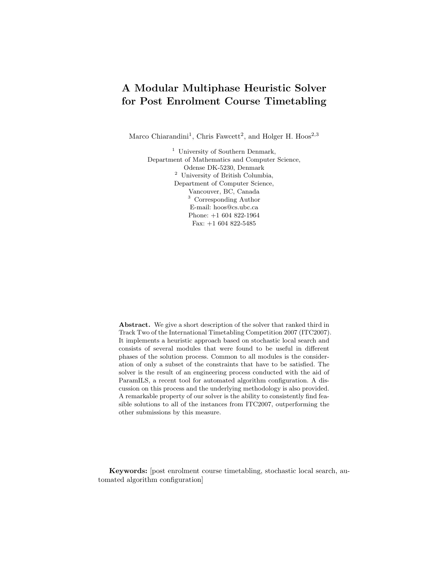## A Modular Multiphase Heuristic Solver for Post Enrolment Course Timetabling

Marco Chiarandini<sup>1</sup>, Chris Fawcett<sup>2</sup>, and Holger H. Hoos<sup>2,3</sup>

<sup>1</sup> University of Southern Denmark, Department of Mathematics and Computer Science, Odense DK-5230, Denmark <sup>2</sup> University of British Columbia, Department of Computer Science, Vancouver, BC, Canada <sup>3</sup> Corresponding Author E-mail: hoos@cs.ubc.ca Phone: +1 604 822-1964 Fax:  $+1\ 604\ 822\text{-}5485$ 

Abstract. We give a short description of the solver that ranked third in Track Two of the International Timetabling Competition 2007 (ITC2007). It implements a heuristic approach based on stochastic local search and consists of several modules that were found to be useful in different phases of the solution process. Common to all modules is the consideration of only a subset of the constraints that have to be satisfied. The solver is the result of an engineering process conducted with the aid of ParamILS, a recent tool for automated algorithm configuration. A discussion on this process and the underlying methodology is also provided. A remarkable property of our solver is the ability to consistently find feasible solutions to all of the instances from ITC2007, outperforming the other submissions by this measure.

Keywords: [post enrolment course timetabling, stochastic local search, automated algorithm configuration]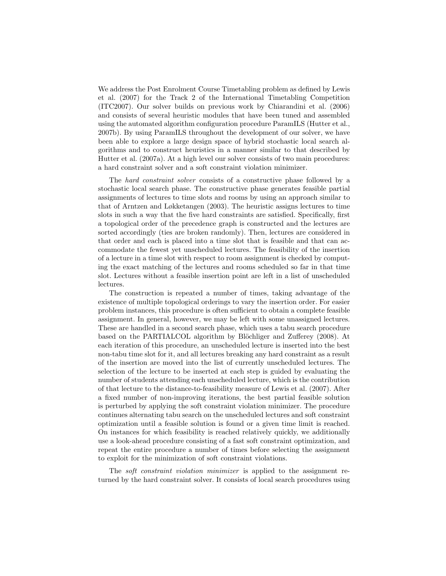We address the Post Enrolment Course Timetabling problem as defined by Lewis et al. (2007) for the Track 2 of the International Timetabling Competition (ITC2007). Our solver builds on previous work by Chiarandini et al. (2006) and consists of several heuristic modules that have been tuned and assembled using the automated algorithm configuration procedure ParamILS (Hutter et al., 2007b). By using ParamILS throughout the development of our solver, we have been able to explore a large design space of hybrid stochastic local search algorithms and to construct heuristics in a manner similar to that described by Hutter et al. (2007a). At a high level our solver consists of two main procedures: a hard constraint solver and a soft constraint violation minimizer.

The hard constraint solver consists of a constructive phase followed by a stochastic local search phase. The constructive phase generates feasible partial assignments of lectures to time slots and rooms by using an approach similar to that of Arntzen and Løkketangen (2003). The heuristic assigns lectures to time slots in such a way that the five hard constraints are satisfied. Specifically, first a topological order of the precedence graph is constructed and the lectures are sorted accordingly (ties are broken randomly). Then, lectures are considered in that order and each is placed into a time slot that is feasible and that can accommodate the fewest yet unscheduled lectures. The feasibility of the insertion of a lecture in a time slot with respect to room assignment is checked by computing the exact matching of the lectures and rooms scheduled so far in that time slot. Lectures without a feasible insertion point are left in a list of unscheduled lectures.

The construction is repeated a number of times, taking advantage of the existence of multiple topological orderings to vary the insertion order. For easier problem instances, this procedure is often sufficient to obtain a complete feasible assignment. In general, however, we may be left with some unassigned lectures. These are handled in a second search phase, which uses a tabu search procedure based on the PARTIALCOL algorithm by Blöchliger and Zufferey (2008). At each iteration of this procedure, an unscheduled lecture is inserted into the best non-tabu time slot for it, and all lectures breaking any hard constraint as a result of the insertion are moved into the list of currently unscheduled lectures. The selection of the lecture to be inserted at each step is guided by evaluating the number of students attending each unscheduled lecture, which is the contribution of that lecture to the distance-to-feasibility measure of Lewis et al. (2007). After a fixed number of non-improving iterations, the best partial feasible solution is perturbed by applying the soft constraint violation minimizer. The procedure continues alternating tabu search on the unscheduled lectures and soft constraint optimization until a feasible solution is found or a given time limit is reached. On instances for which feasibility is reached relatively quickly, we additionally use a look-ahead procedure consisting of a fast soft constraint optimization, and repeat the entire procedure a number of times before selecting the assignment to exploit for the minimization of soft constraint violations.

The soft constraint violation minimizer is applied to the assignment returned by the hard constraint solver. It consists of local search procedures using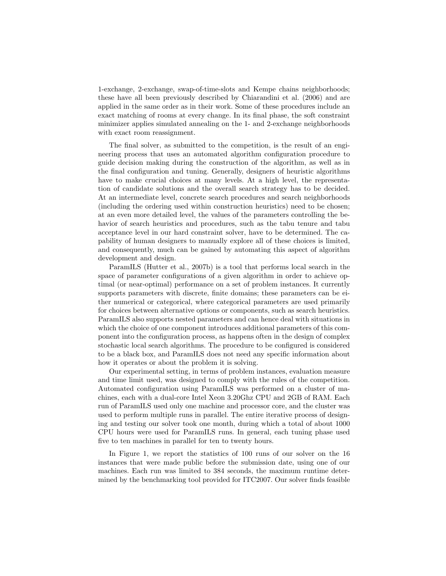1-exchange, 2-exchange, swap-of-time-slots and Kempe chains neighborhoods; these have all been previously described by Chiarandini et al. (2006) and are applied in the same order as in their work. Some of these procedures include an exact matching of rooms at every change. In its final phase, the soft constraint minimizer applies simulated annealing on the 1- and 2-exchange neighborhoods with exact room reassignment.

The final solver, as submitted to the competition, is the result of an engineering process that uses an automated algorithm configuration procedure to guide decision making during the construction of the algorithm, as well as in the final configuration and tuning. Generally, designers of heuristic algorithms have to make crucial choices at many levels. At a high level, the representation of candidate solutions and the overall search strategy has to be decided. At an intermediate level, concrete search procedures and search neighborhoods (including the ordering used within construction heuristics) need to be chosen; at an even more detailed level, the values of the parameters controlling the behavior of search heuristics and procedures, such as the tabu tenure and tabu acceptance level in our hard constraint solver, have to be determined. The capability of human designers to manually explore all of these choices is limited, and consequently, much can be gained by automating this aspect of algorithm development and design.

ParamILS (Hutter et al., 2007b) is a tool that performs local search in the space of parameter configurations of a given algorithm in order to achieve optimal (or near-optimal) performance on a set of problem instances. It currently supports parameters with discrete, finite domains; these parameters can be either numerical or categorical, where categorical parameters are used primarily for choices between alternative options or components, such as search heuristics. ParamILS also supports nested parameters and can hence deal with situations in which the choice of one component introduces additional parameters of this component into the configuration process, as happens often in the design of complex stochastic local search algorithms. The procedure to be configured is considered to be a black box, and ParamILS does not need any specific information about how it operates or about the problem it is solving.

Our experimental setting, in terms of problem instances, evaluation measure and time limit used, was designed to comply with the rules of the competition. Automated configuration using ParamILS was performed on a cluster of machines, each with a dual-core Intel Xeon 3.20Ghz CPU and 2GB of RAM. Each run of ParamILS used only one machine and processor core, and the cluster was used to perform multiple runs in parallel. The entire iterative process of designing and testing our solver took one month, during which a total of about 1000 CPU hours were used for ParamILS runs. In general, each tuning phase used five to ten machines in parallel for ten to twenty hours.

In Figure 1, we report the statistics of 100 runs of our solver on the 16 instances that were made public before the submission date, using one of our machines. Each run was limited to 384 seconds, the maximum runtime determined by the benchmarking tool provided for ITC2007. Our solver finds feasible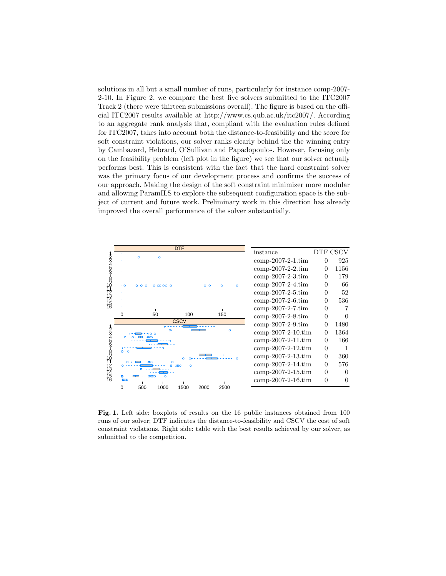solutions in all but a small number of runs, particularly for instance comp-2007- 2-10. In Figure 2, we compare the best five solvers submitted to the ITC2007 Track 2 (there were thirteen submissions overall). The figure is based on the official ITC2007 results available at http://www.cs.qub.ac.uk/itc2007/. According to an aggregate rank analysis that, compliant with the evaluation rules defined for ITC2007, takes into account both the distance-to-feasibility and the score for soft constraint violations, our solver ranks clearly behind the the winning entry by Cambazard, Hebrard, O'Sullivan and Papadopoulos. However, focusing only on the feasibility problem (left plot in the figure) we see that our solver actually performs best. This is consistent with the fact that the hard constraint solver was the primary focus of our development process and confirms the success of our approach. Making the design of the soft constraint minimizer more modular and allowing ParamILS to explore the subsequent configuration space is the subject of current and future work. Preliminary work in this direction has already improved the overall performance of the solver substantially.



Fig. 1. Left side: boxplots of results on the 16 public instances obtained from 100 runs of our solver; DTF indicates the distance-to-feasibility and CSCV the cost of soft constraint violations. Right side: table with the best results achieved by our solver, as submitted to the competition.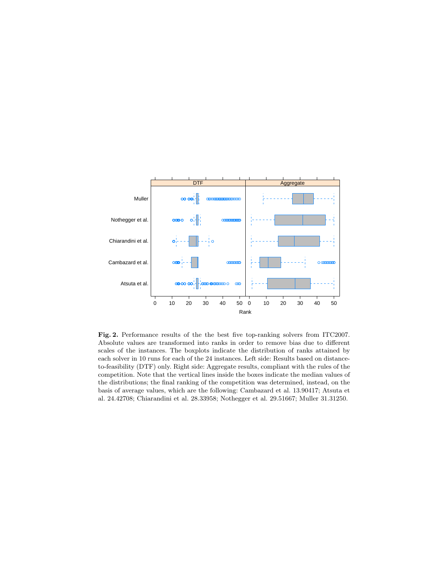

Fig. 2. Performance results of the the best five top-ranking solvers from ITC2007. Absolute values are transformed into ranks in order to remove bias due to different scales of the instances. The boxplots indicate the distribution of ranks attained by each solver in 10 runs for each of the 24 instances. Left side: Results based on distanceto-feasibility (DTF) only. Right side: Aggregate results, compliant with the rules of the competition. Note that the vertical lines inside the boxes indicate the median values of the distributions; the final ranking of the competition was determined, instead, on the basis of average values, which are the following: Cambazard et al. 13.90417; Atsuta et al. 24.42708; Chiarandini et al. 28.33958; Nothegger et al. 29.51667; Muller 31.31250.